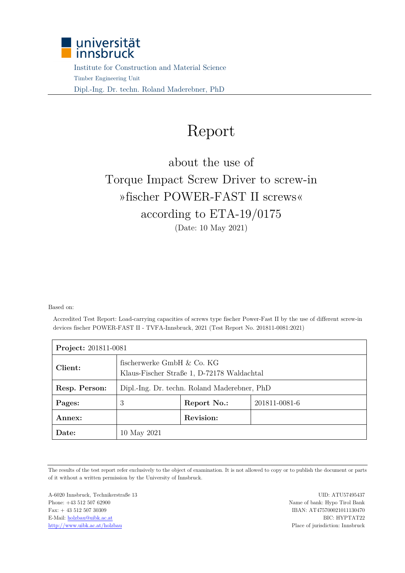

 Institute for Construction and Material Science Timber Engineering Unit Dipl.-Ing. Dr. techn. Roland Maderebner, PhD

## Report

## about the use of Torque Impact Screw Driver to screw-in »fischer POWER-FAST II screws« according to ETA-19/0175 (Date: 10 May 2021)

Based on:

Accredited Test Report: Load-carrying capacities of screws type fischer Power-Fast II by the use of different screw-in devices fischer POWER-FAST II - TVFA-Innsbruck, 2021 (Test Report No. 201811-0081:2021)

| <b>Project: 201811-0081</b> |                                                                          |             |               |  |  |  |  |
|-----------------------------|--------------------------------------------------------------------------|-------------|---------------|--|--|--|--|
| Client:                     | fischerwerke GmbH & Co. KG<br>Klaus-Fischer Straße 1, D-72178 Waldachtal |             |               |  |  |  |  |
| Resp. Person:               | Dipl.-Ing. Dr. techn. Roland Maderebner, PhD                             |             |               |  |  |  |  |
| Pages:                      | 3                                                                        | Report No.: | 201811-0081-6 |  |  |  |  |
| Annex:                      |                                                                          | Revision:   |               |  |  |  |  |
| Date:                       | 10 May 2021                                                              |             |               |  |  |  |  |

The results of the test report refer exclusively to the object of examination. It is not allowed to copy or to publish the document or parts of it without a written permission by the University of Innsbruck.

A-6020 Innsbruck, Technikerstraße 13 UID: ATU57495437 Phone: +43 512 507 62900 Name of bank: Hypo Tirol Bank Fax: + 43 512 507 30309 IBAN: AT475700021011130470 E-Mail: holzbau@uibk.ac.at BIC: HYPTAT22 http://www.uibk.ac.at/holzbau Place of jurisdiction: Innsbruck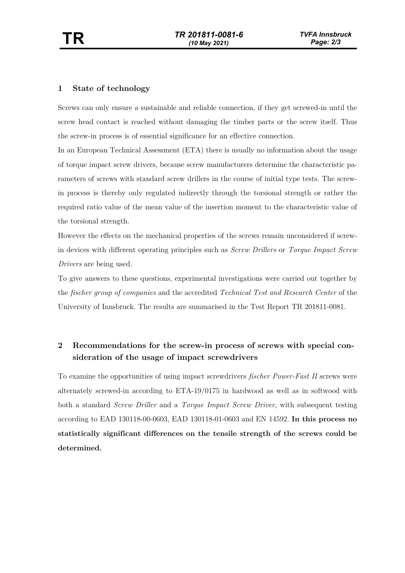## **1 State of technology**

Screws can only ensure a sustainable and reliable connection, if they get screwed-in until the screw head contact is reached without damaging the timber parts or the screw itself. Thus the screw-in process is of essential significance for an effective connection.

In an European Technical Assessment (ETA) there is usually no information about the usage of torque impact screw drivers, because screw manufacturers determine the characteristic parameters of screws with standard screw drillers in the course of initial type tests. The screwin process is thereby only regulated indirectly through the torsional strength or rather the required ratio value of the mean value of the insertion moment to the characteristic value of the torsional strength.

However the effects on the mechanical properties of the screws remain unconsidered if screwin devices with different operating principles such as *Screw Drillers* or *Torque Impact Screw Drivers* are being used.

To give answers to these questions, experimental investigations were carried out together by the *fischer group of companies* and the accredited *Technical Test and Research Center* of the University of Innsbruck. The results are summarised in the Test Report TR 201811-0081.

## **2 Recommendations for the screw-in process of screws with special consideration of the usage of impact screwdrivers**

To examine the opportunities of using impact screwdrivers *fischer Power-Fast II* screws were alternately screwed-in according to ETA-19/0175 in hardwood as well as in softwood with both a standard *Screw Driller* and a *Torque Impact Screw Driver*, with subsequent testing according to EAD 130118-00-0603, EAD 130118-01-0603 and EN 14592. **In this process no statistically significant differences on the tensile strength of the screws could be determined.**